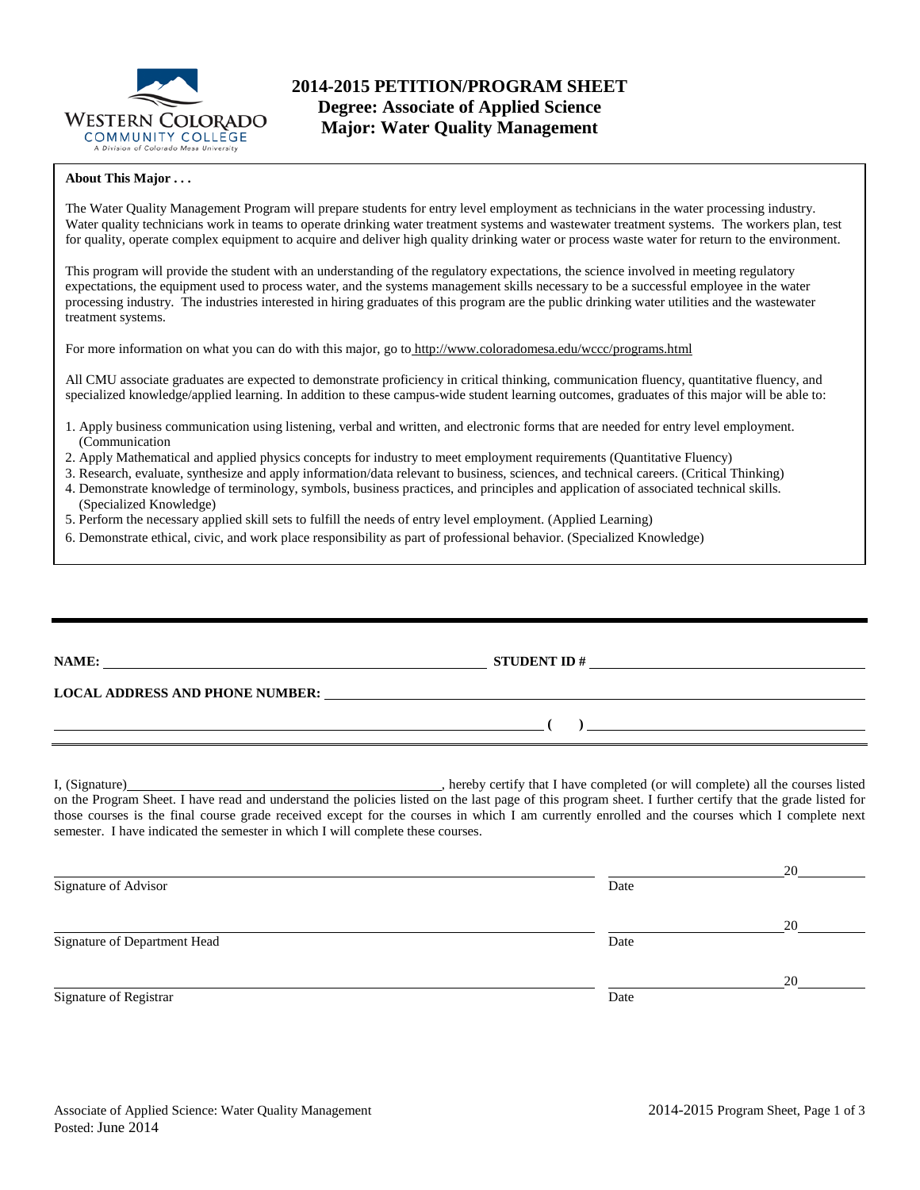

# **2014-2015 PETITION/PROGRAM SHEET Degree: Associate of Applied Science Major: Water Quality Management**

#### **About This Major . . .**

The Water Quality Management Program will prepare students for entry level employment as technicians in the water processing industry. Water quality technicians work in teams to operate drinking water treatment systems and wastewater treatment systems. The workers plan, test for quality, operate complex equipment to acquire and deliver high quality drinking water or process waste water for return to the environment.

This program will provide the student with an understanding of the regulatory expectations, the science involved in meeting regulatory expectations, the equipment used to process water, and the systems management skills necessary to be a successful employee in the water processing industry. The industries interested in hiring graduates of this program are the public drinking water utilities and the wastewater treatment systems.

For more information on what you can do with this major, go to http://www.coloradomesa.edu/wccc/programs.html

All CMU associate graduates are expected to demonstrate proficiency in critical thinking, communication fluency, quantitative fluency, and specialized knowledge/applied learning. In addition to these campus-wide student learning outcomes, graduates of this major will be able to:

- 1. Apply business communication using listening, verbal and written, and electronic forms that are needed for entry level employment. (Communication
- 2. Apply Mathematical and applied physics concepts for industry to meet employment requirements (Quantitative Fluency)
- 3. Research, evaluate, synthesize and apply information/data relevant to business, sciences, and technical careers. (Critical Thinking)
- 4. Demonstrate knowledge of terminology, symbols, business practices, and principles and application of associated technical skills. (Specialized Knowledge)
- 5. Perform the necessary applied skill sets to fulfill the needs of entry level employment. (Applied Learning)
- 6. Demonstrate ethical, civic, and work place responsibility as part of professional behavior. (Specialized Knowledge)

|                                                                                 | ) and the contract of the contract of $\mathcal{L}$                                                                                                                                                                                                                                                        |
|---------------------------------------------------------------------------------|------------------------------------------------------------------------------------------------------------------------------------------------------------------------------------------------------------------------------------------------------------------------------------------------------------|
| semester. I have indicated the semester in which I will complete these courses. | on the Program Sheet. I have read and understand the policies listed on the last page of this program sheet. I further certify that the grade listed for<br>those courses is the final course grade received except for the courses in which I am currently enrolled and the courses which I complete next |
|                                                                                 |                                                                                                                                                                                                                                                                                                            |

| Signature of Advisor         | Date |    |  |
|------------------------------|------|----|--|
|                              |      | 20 |  |
| Signature of Department Head | Date |    |  |
|                              |      | 20 |  |
| Signature of Registrar       | Date |    |  |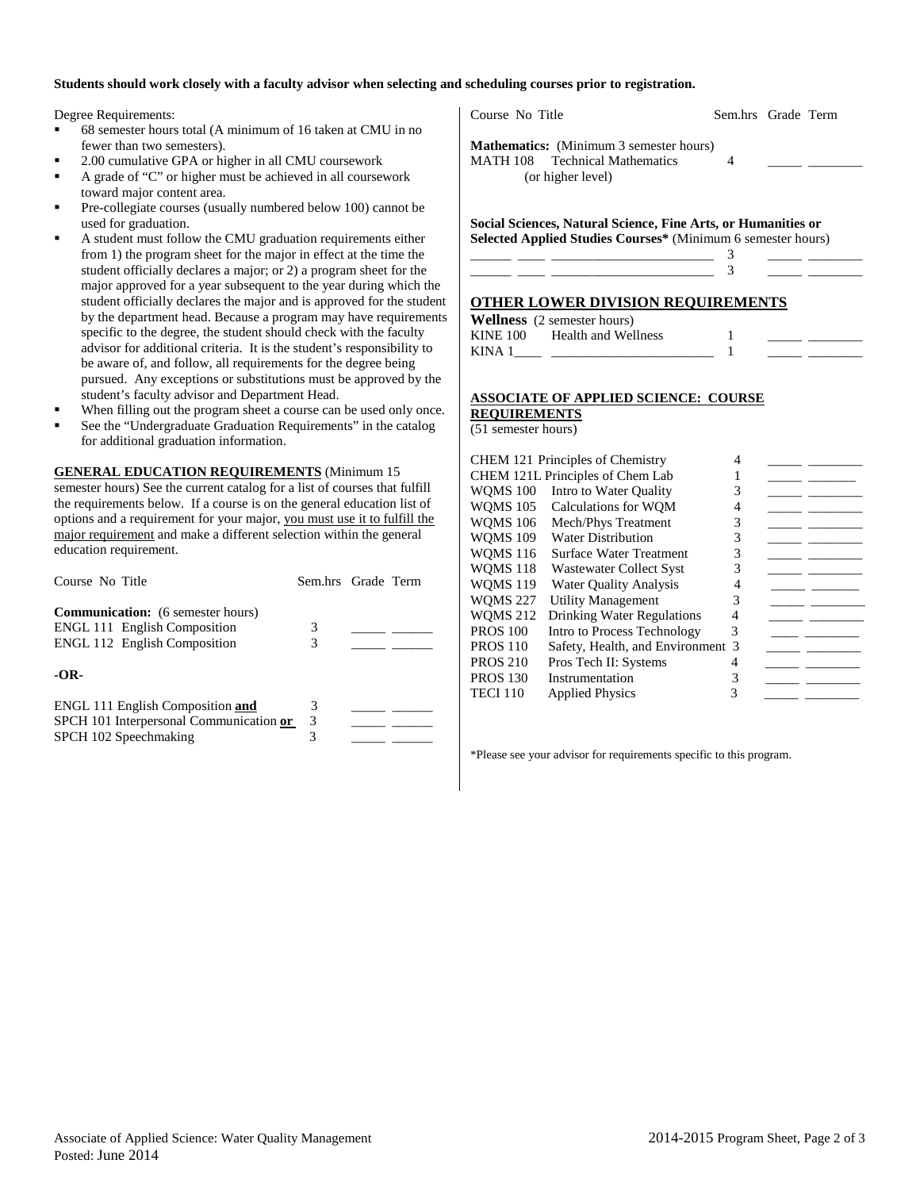#### **Students should work closely with a faculty advisor when selecting and scheduling courses prior to registration.**

Degree Requirements:

- 68 semester hours total (A minimum of 16 taken at CMU in no fewer than two semesters).
- 2.00 cumulative GPA or higher in all CMU coursework
- A grade of "C" or higher must be achieved in all coursework toward major content area.
- Pre-collegiate courses (usually numbered below 100) cannot be used for graduation.
- A student must follow the CMU graduation requirements either from 1) the program sheet for the major in effect at the time the student officially declares a major; or 2) a program sheet for the major approved for a year subsequent to the year during which the student officially declares the major and is approved for the student by the department head. Because a program may have requirements specific to the degree, the student should check with the faculty advisor for additional criteria. It is the student's responsibility to be aware of, and follow, all requirements for the degree being pursued. Any exceptions or substitutions must be approved by the student's faculty advisor and Department Head.
- When filling out the program sheet a course can be used only once.
- See the "Undergraduate Graduation Requirements" in the catalog for additional graduation information.

**GENERAL EDUCATION REQUIREMENTS** (Minimum 15 semester hours) See the current catalog for a list of courses that fulfill the requirements below. If a course is on the general education list of options and a requirement for your major, you must use it to fulfill the major requirement and make a different selection within the general education requirement.

| Course No Title                                                                                                        | Sem.hrs Grade Term |  |
|------------------------------------------------------------------------------------------------------------------------|--------------------|--|
| <b>Communication:</b> (6 semester hours)<br><b>ENGL 111 English Composition</b><br><b>ENGL 112 English Composition</b> | 3<br>3             |  |
| $-OR-$                                                                                                                 |                    |  |
| <b>ENGL 111 English Composition and</b><br>SPCH 101 Interpersonal Communication or<br>SPCH 102 Speechmaking            | 3<br>3<br>3        |  |

Course No Title Sem.hrs Grade Term

**Mathematics:** (Minimum 3 semester hours) MATH 108 Technical Mathematics 4 (or higher level)

**Social Sciences, Natural Science, Fine Arts, or Humanities or Selected Applied Studies Courses\*** (Minimum 6 semester hours)

| - Contract Annual Contract Annual Contract Annual Contract Annual Contract Annual Contract Annual Contract Ann |                                                                                                                                                                                                                               |
|----------------------------------------------------------------------------------------------------------------|-------------------------------------------------------------------------------------------------------------------------------------------------------------------------------------------------------------------------------|
|                                                                                                                |                                                                                                                                                                                                                               |
| ,我们也不会有什么?""我们的人,我们也不会有什么?""我们的人,我们也不会有什么?""我们的人,我们也不会有什么?""我们的人,我们也不会有什么?""我们的人                               | the control of the control of the control of the control of the control of the control of the control of the control of the control of the control of the control of the control of the control of the control of the control |
|                                                                                                                |                                                                                                                                                                                                                               |

#### **OTHER LOWER DIVISION REQUIREMENTS**

**Wellness** (2 semester hours) KINE 100 Health and Wellness 1

| .            |  |
|--------------|--|
| and Wellness |  |

# KINA  $1 \quad \qquad$   $\qquad$   $\qquad$   $\qquad$   $\qquad$   $\qquad$   $\qquad$   $\qquad$   $\qquad$   $\qquad$   $\qquad$   $\qquad$   $\qquad$   $\qquad$   $\qquad$   $\qquad$   $\qquad$   $\qquad$   $\qquad$   $\qquad$   $\qquad$   $\qquad$   $\qquad$   $\qquad$   $\qquad$   $\qquad$   $\qquad$   $\qquad$   $\qquad$   $\qquad$   $\qquad$   $\qquad$   $\qquad$   $\qquad$   $\qquad$   $\q$

#### **ASSOCIATE OF APPLIED SCIENCE: COURSE REQUIREMENTS**

(51 semester hours)

|                 | <b>CHEM 121 Principles of Chemistry</b> | 4 |  |
|-----------------|-----------------------------------------|---|--|
|                 | CHEM 121L Principles of Chem Lab        |   |  |
| <b>WOMS 100</b> | Intro to Water Quality                  | 3 |  |
| <b>WOMS 105</b> | Calculations for WOM                    | 4 |  |
| <b>WOMS 106</b> | Mech/Phys Treatment                     | 3 |  |
| <b>WOMS 109</b> | <b>Water Distribution</b>               | 3 |  |
| <b>WOMS 116</b> | <b>Surface Water Treatment</b>          | 3 |  |
| <b>WOMS 118</b> | Wastewater Collect Syst                 | 3 |  |
| <b>WOMS 119</b> | <b>Water Ouality Analysis</b>           | 4 |  |
| <b>WOMS 227</b> | <b>Utility Management</b>               | 3 |  |
| <b>WOMS 212</b> | <b>Drinking Water Regulations</b>       | 4 |  |
| <b>PROS 100</b> | Intro to Process Technology             | 3 |  |
| <b>PROS 110</b> | Safety, Health, and Environment 3       |   |  |
| <b>PROS 210</b> | Pros Tech II: Systems                   |   |  |
| <b>PROS 130</b> | Instrumentation                         | 3 |  |
| TECI 110        | <b>Applied Physics</b>                  | 3 |  |
|                 |                                         |   |  |

\*Please see your advisor for requirements specific to this program.